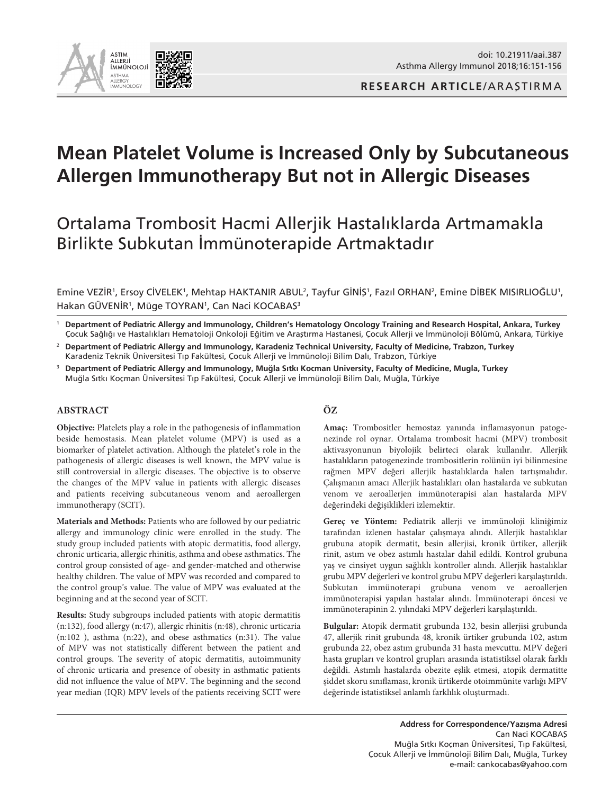

**RESEARCH ARTICLE**/ARAŞTIRMA

# **Mean Platelet Volume is Increased Only by Subcutaneous Allergen Immunotherapy But not in Allergic Diseases**

## Ortalama Trombosit Hacmi Allerjik Hastalıklarda Artmamakla Birlikte Subkutan İmmünoterapide Artmaktadır

Emine VEZİR', Ersoy CİVELEK', Mehtap HAKTANIR ABUL<sup>2</sup>, Tayfur GİNİŞ', Fazıl ORHAN<sup>2</sup>, Emine DİBEK MISIRLIOĞLU', Hakan GÜVENİR', Müge TOYRAN', Can Naci KOCABAŞ<sup>3</sup>

<sup>1</sup> **Department of Pediatric Allergy and Immunology, Children's Hematology Oncology Training and Research Hospital, Ankara, Turkey**  Çocuk Sağlığı ve Hastalıkları Hematoloji Onkoloji Eğitim ve Araştırma Hastanesi, Çocuk Allerji ve İmmünoloji Bölümü, Ankara, Türkiye

- <sup>2</sup> **Department of Pediatric Allergy and Immunology, Karadeniz Technical University, Faculty of Medicine, Trabzon, Turkey**  Karadeniz Teknik Üniversitesi Tıp Fakültesi, Çocuk Allerji ve İmmünoloji Bilim Dalı, Trabzon, Türkiye
- <sup>3</sup> **Department of Pediatric Allergy and Immunology, Muğla Sıtkı Kocman University, Faculty of Medicine, Mugla, Turkey**  Muğla Sıtkı Koçman Üniversitesi Tıp Fakültesi, Çocuk Allerji ve İmmünoloji Bilim Dalı, Muğla, Türkiye

#### **ABSTRACT**

**Objective:** Platelets play a role in the pathogenesis of inflammation beside hemostasis. Mean platelet volume (MPV) is used as a biomarker of platelet activation. Although the platelet's role in the pathogenesis of allergic diseases is well known, the MPV value is still controversial in allergic diseases. The objective is to observe the changes of the MPV value in patients with allergic diseases and patients receiving subcutaneous venom and aeroallergen immunotherapy (SCIT).

**Materials and Methods:** Patients who are followed by our pediatric allergy and immunology clinic were enrolled in the study. The study group included patients with atopic dermatitis, food allergy, chronic urticaria, allergic rhinitis, asthma and obese asthmatics. The control group consisted of age- and gender-matched and otherwise healthy children. The value of MPV was recorded and compared to the control group's value. The value of MPV was evaluated at the beginning and at the second year of SCIT.

**Results:** Study subgroups included patients with atopic dermatitis (n:132), food allergy (n:47), allergic rhinitis (n:48), chronic urticaria (n:102 ), asthma (n:22), and obese asthmatics (n:31). The value of MPV was not statistically different between the patient and control groups. The severity of atopic dermatitis, autoimmunity of chronic urticaria and presence of obesity in asthmatic patients did not influence the value of MPV. The beginning and the second year median (IQR) MPV levels of the patients receiving SCIT were

### **ÖZ**

**Amaç:** Trombositler hemostaz yanında inflamasyonun patogenezinde rol oynar. Ortalama trombosit hacmi (MPV) trombosit aktivasyonunun biyolojik belirteci olarak kullanılır. Allerjik hastalıkların patogenezinde trombositlerin rolünün iyi bilinmesine rağmen MPV değeri allerjik hastalıklarda halen tartışmalıdır. Çalışmanın amacı Allerjik hastalıkları olan hastalarda ve subkutan venom ve aeroallerjen immünoterapisi alan hastalarda MPV değerindeki değişiklikleri izlemektir.

**Gereç ve Yöntem:** Pediatrik allerji ve immünoloji kliniğimiz tarafından izlenen hastalar çalışmaya alındı. Allerjik hastalıklar grubuna atopik dermatit, besin allerjisi, kronik ürtiker, allerjik rinit, astım ve obez astımlı hastalar dahil edildi. Kontrol grubuna yaş ve cinsiyet uygun sağlıklı kontroller alındı. Allerjik hastalıklar grubu MPV değerleri ve kontrol grubu MPV değerleri karşılaştırıldı. Subkutan immünoterapi grubuna venom ve aeroallerjen immünoterapisi yapılan hastalar alındı. İmmünoterapi öncesi ve immünoterapinin 2. yılındaki MPV değerleri karşılaştırıldı.

**Bulgular:** Atopik dermatit grubunda 132, besin allerjisi grubunda 47, allerjik rinit grubunda 48, kronik ürtiker grubunda 102, astım grubunda 22, obez astım grubunda 31 hasta mevcuttu. MPV değeri hasta grupları ve kontrol grupları arasında istatistiksel olarak farklı değildi. Astımlı hastalarda obezite eşlik etmesi, atopik dermatitte şiddet skoru sınıflaması, kronik ürtikerde otoimmünite varlığı MPV değerinde istatistiksel anlamlı farklılık oluşturmadı.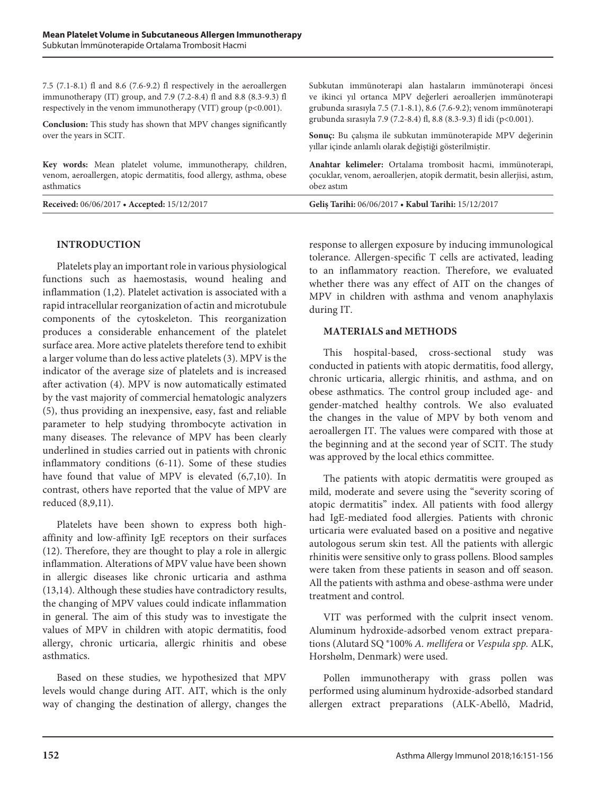| Received: 06/06/2017 • Accepted: 15/12/2017                                                                                                    | Geliş Tarihi: 06/06/2017 • Kabul Tarihi: 15/12/2017                                                                                                                                                          |
|------------------------------------------------------------------------------------------------------------------------------------------------|--------------------------------------------------------------------------------------------------------------------------------------------------------------------------------------------------------------|
| Key words: Mean platelet volume, immunotherapy, children,<br>venom, aeroallergen, atopic dermatitis, food allergy, asthma, obese<br>asthmatics | Anahtar kelimeler: Ortalama trombosit hacmi, immünoterapi,<br>cocuklar, venom, aeroallerjen, atopik dermatit, besin allerjisi, astim,<br>obez astim                                                          |
| over the years in SCIT.                                                                                                                        | Sonuç: Bu çalışma ile subkutan immünoterapide MPV değerinin<br>yıllar içinde anlamlı olarak değiştiği gösterilmiştir.                                                                                        |
| Conclusion: This study has shown that MPV changes significantly                                                                                | ve ikinci yıl ortanca MPV değerleri aeroallerjen immünoterapi<br>grubunda sırasıyla 7.5 (7.1-8.1), 8.6 (7.6-9.2); venom immünoterapi<br>grubunda sırasıyla 7.9 (7.2-8.4) fl, 8.8 (8.3-9.3) fl idi (p<0.001). |
| immunotherapy (IT) group, and 7.9 (7.2-8.4) fl and 8.8 (8.3-9.3) fl<br>respectively in the venom immunotherapy (VIT) group $(p<0.001)$ .       |                                                                                                                                                                                                              |
| 7.5 $(7.1-8.1)$ fl and 8.6 $(7.6-9.2)$ fl respectively in the aeroallergen                                                                     | Subkutan immünoterapi alan hastaların immünoterapi öncesi                                                                                                                                                    |

#### **INTRODUCTION**

Platelets play an important role in various physiological functions such as haemostasis, wound healing and inflammation (1,2). Platelet activation is associated with a rapid intracellular reorganization of actin and microtubule components of the cytoskeleton. This reorganization produces a considerable enhancement of the platelet surface area. More active platelets therefore tend to exhibit a larger volume than do less active platelets (3). MPV is the indicator of the average size of platelets and is increased after activation (4). MPV is now automatically estimated by the vast majority of commercial hematologic analyzers (5), thus providing an inexpensive, easy, fast and reliable parameter to help studying thrombocyte activation in many diseases. The relevance of MPV has been clearly underlined in studies carried out in patients with chronic inflammatory conditions (6-11). Some of these studies have found that value of MPV is elevated (6,7,10). In contrast, others have reported that the value of MPV are reduced (8,9,11).

Platelets have been shown to express both highaffinity and low-affinity IgE receptors on their surfaces (12). Therefore, they are thought to play a role in allergic inflammation. Alterations of MPV value have been shown in allergic diseases like chronic urticaria and asthma (13,14). Although these studies have contradictory results, the changing of MPV values could indicate inflammation in general. The aim of this study was to investigate the values of MPV in children with atopic dermatitis, food allergy, chronic urticaria, allergic rhinitis and obese asthmatics.

Based on these studies, we hypothesized that MPV levels would change during AIT. AIT, which is the only way of changing the destination of allergy, changes the

response to allergen exposure by inducing immunological tolerance. Allergen-specific T cells are activated, leading to an inflammatory reaction. Therefore, we evaluated whether there was any effect of AIT on the changes of MPV in children with asthma and venom anaphylaxis during IT.

#### **MATERIALS and METHODS**

This hospital-based, cross-sectional study was conducted in patients with atopic dermatitis, food allergy, chronic urticaria, allergic rhinitis, and asthma, and on obese asthmatics. The control group included age- and gender-matched healthy controls. We also evaluated the changes in the value of MPV by both venom and aeroallergen IT. The values were compared with those at the beginning and at the second year of SCIT. The study was approved by the local ethics committee.

The patients with atopic dermatitis were grouped as mild, moderate and severe using the "severity scoring of atopic dermatitis" index. All patients with food allergy had IgE-mediated food allergies. Patients with chronic urticaria were evaluated based on a positive and negative autologous serum skin test. All the patients with allergic rhinitis were sensitive only to grass pollens. Blood samples were taken from these patients in season and off season. All the patients with asthma and obese-asthma were under treatment and control.

VIT was performed with the culprit insect venom. Aluminum hydroxide-adsorbed venom extract preparations (Alutard SQ ®100% *A. mellifera* or *Vespula spp.* ALK, Horshølm, Denmark) were used.

Pollen immunotherapy with grass pollen was performed using aluminum hydroxide-adsorbed standard allergen extract preparations (ALK-Abellô, Madrid,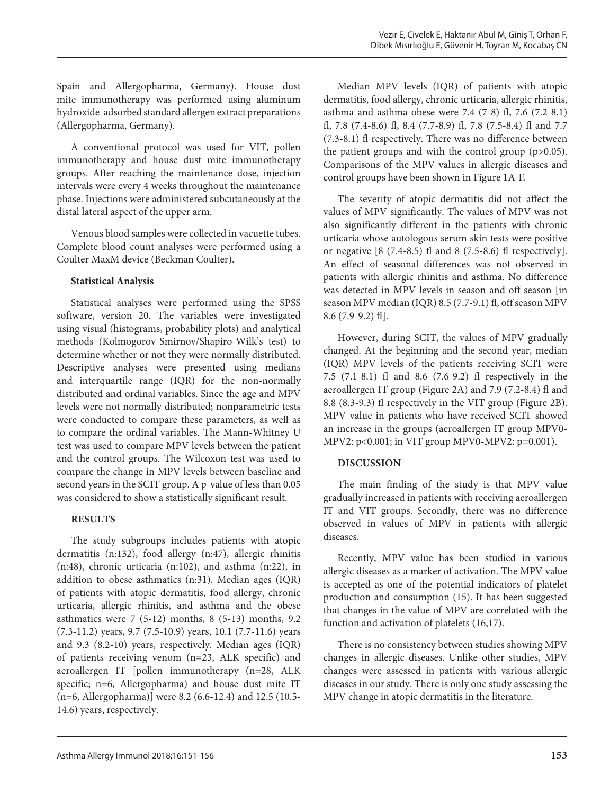Spain and Allergopharma, Germany). House dust mite immunotherapy was performed using aluminum hydroxide-adsorbed standard allergen extract preparations (Allergopharma, Germany).

A conventional protocol was used for VIT, pollen immunotherapy and house dust mite immunotherapy groups. After reaching the maintenance dose, injection intervals were every 4 weeks throughout the maintenance phase. Injections were administered subcutaneously at the distal lateral aspect of the upper arm.

Venous blood samples were collected in vacuette tubes. Complete blood count analyses were performed using a Coulter MaxM device (Beckman Coulter).

## **Statistical Analysis**

Statistical analyses were performed using the SPSS software, version 20. The variables were investigated using visual (histograms, probability plots) and analytical methods (Kolmogorov-Smirnov/Shapiro-Wilk's test) to determine whether or not they were normally distributed. Descriptive analyses were presented using medians and interquartile range (IQR) for the non-normally distributed and ordinal variables. Since the age and MPV levels were not normally distributed; nonparametric tests were conducted to compare these parameters, as well as to compare the ordinal variables. The Mann-Whitney U test was used to compare MPV levels between the patient and the control groups. The Wilcoxon test was used to compare the change in MPV levels between baseline and second years in the SCIT group. A p-value of less than 0.05 was considered to show a statistically significant result.

## **RESULTS**

The study subgroups includes patients with atopic dermatitis (n:132), food allergy (n:47), allergic rhinitis (n:48), chronic urticaria (n:102), and asthma (n:22), in addition to obese asthmatics (n:31). Median ages (IQR) of patients with atopic dermatitis, food allergy, chronic urticaria, allergic rhinitis, and asthma and the obese asthmatics were  $7$  (5-12) months,  $8$  (5-13) months,  $9.2$ (7.3-11.2) years, 9.7 (7.5-10.9) years, 10.1 (7.7-11.6) years and 9.3 (8.2-10) years, respectively. Median ages (IQR) of patients receiving venom (n=23, ALK specific) and aeroallergen IT [pollen immunotherapy (n=28, ALK specific; n=6, Allergopharma) and house dust mite IT (n=6, Allergopharma)] were 8.2 (6.6-12.4) and 12.5 (10.5- 14.6) years, respectively.

Median MPV levels (IQR) of patients with atopic dermatitis, food allergy, chronic urticaria, allergic rhinitis, asthma and asthma obese were 7.4 (7-8) fl, 7.6 (7.2-8.1) fl, 7.8 (7.4-8.6) fl, 8.4 (7.7-8.9) fl, 7.8 (7.5-8.4) fl and 7.7 (7.3-8.1) fl respectively. There was no difference between the patient groups and with the control group (p>0.05). Comparisons of the MPV values in allergic diseases and control groups have been shown in Figure 1A-F.

The severity of atopic dermatitis did not affect the values of MPV significantly. The values of MPV was not also significantly different in the patients with chronic urticaria whose autologous serum skin tests were positive or negative  $[8 (7.4-8.5)$  fl and  $[8 (7.5-8.6)$  fl respectively]. An effect of seasonal differences was not observed in patients with allergic rhinitis and asthma. No difference was detected in MPV levels in season and off season [in season MPV median (IQR) 8.5 (7.7-9.1) fl, off season MPV 8.6 (7.9-9.2) fl].

However, during SCIT, the values of MPV gradually changed. At the beginning and the second year, median (IQR) MPV levels of the patients receiving SCIT were 7.5 (7.1-8.1) fl and 8.6 (7.6-9.2) fl respectively in the aeroallergen IT group (Figure 2A) and 7.9 (7.2-8.4) fl and 8.8 (8.3-9.3) fl respectively in the VIT group (Figure 2B). MPV value in patients who have received SCIT showed an increase in the groups (aeroallergen IT group MPV0- MPV2: p<0.001; in VIT group MPV0-MPV2: p=0.001).

## **DISCUSSION**

The main finding of the study is that MPV value gradually increased in patients with receiving aeroallergen IT and VIT groups. Secondly, there was no difference observed in values of MPV in patients with allergic diseases.

Recently, MPV value has been studied in various allergic diseases as a marker of activation. The MPV value is accepted as one of the potential indicators of platelet production and consumption (15). It has been suggested that changes in the value of MPV are correlated with the function and activation of platelets (16,17).

There is no consistency between studies showing MPV changes in allergic diseases. Unlike other studies, MPV changes were assessed in patients with various allergic diseases in our study. There is only one study assessing the MPV change in atopic dermatitis in the literature.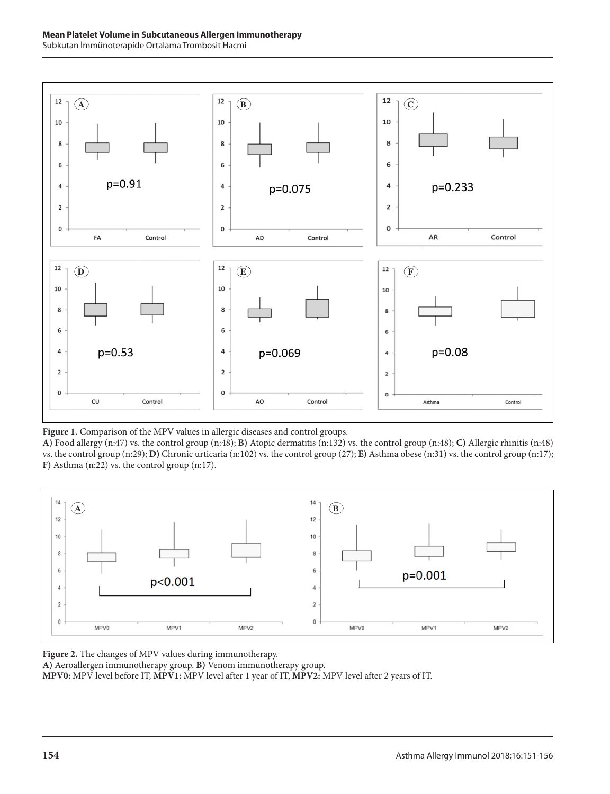#### **Mean Platelet Volume in Subcutaneous Allergen Immunotherapy**

Subkutan İmmünoterapide Ortalama Trombosit Hacmi



**Figure 1.** Comparison of the MPV values in allergic diseases and control groups.

**A)** Food allergy (n:47) vs. the control group (n:48); **B)** Atopic dermatitis (n:132) vs. the control group (n:48); **C)** Allergic rhinitis (n:48) vs. the control group (n:29); **D)** Chronic urticaria (n:102) vs. the control group (27); **E)** Asthma obese (n:31) vs. the control group (n:17); **F)** Asthma (n:22) vs. the control group (n:17).



**Figure 2.** The changes of MPV values during immunotherapy.

**A)** Aeroallergen immunotherapy group. **B)** Venom immunotherapy group.

**MPV0:** MPV level before IT, **MPV1:** MPV level after 1 year of IT, **MPV2:** MPV level after 2 years of IT.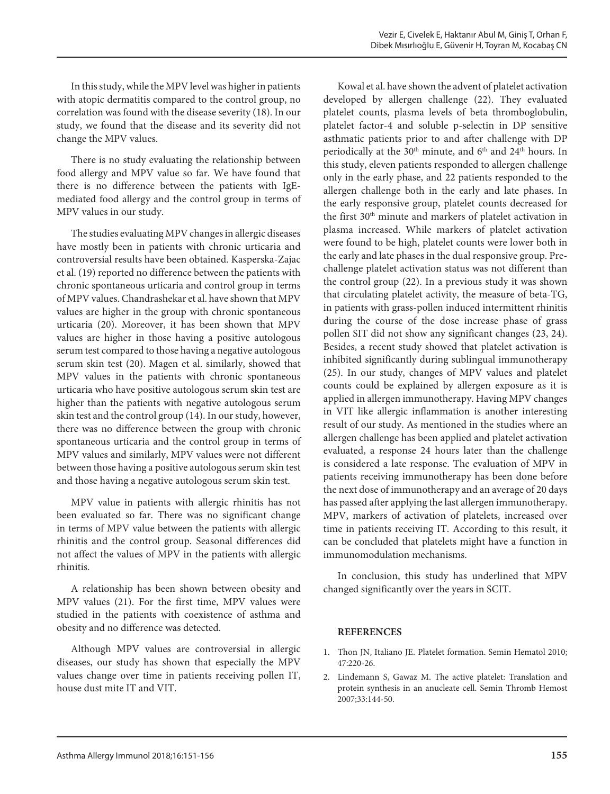In this study, while the MPV level was higher in patients with atopic dermatitis compared to the control group, no correlation was found with the disease severity (18). In our study, we found that the disease and its severity did not change the MPV values.

There is no study evaluating the relationship between food allergy and MPV value so far. We have found that there is no difference between the patients with IgEmediated food allergy and the control group in terms of MPV values in our study.

The studies evaluating MPV changes in allergic diseases have mostly been in patients with chronic urticaria and controversial results have been obtained. Kasperska-Zajac et al. (19) reported no difference between the patients with chronic spontaneous urticaria and control group in terms of MPV values. Chandrashekar et al. have shown that MPV values are higher in the group with chronic spontaneous urticaria (20). Moreover, it has been shown that MPV values are higher in those having a positive autologous serum test compared to those having a negative autologous serum skin test (20). Magen et al. similarly, showed that MPV values in the patients with chronic spontaneous urticaria who have positive autologous serum skin test are higher than the patients with negative autologous serum skin test and the control group (14). In our study, however, there was no difference between the group with chronic spontaneous urticaria and the control group in terms of MPV values and similarly, MPV values were not different between those having a positive autologous serum skin test and those having a negative autologous serum skin test.

MPV value in patients with allergic rhinitis has not been evaluated so far. There was no significant change in terms of MPV value between the patients with allergic rhinitis and the control group. Seasonal differences did not affect the values of MPV in the patients with allergic rhinitis.

A relationship has been shown between obesity and MPV values (21). For the first time, MPV values were studied in the patients with coexistence of asthma and obesity and no difference was detected.

Although MPV values are controversial in allergic diseases, our study has shown that especially the MPV values change over time in patients receiving pollen IT, house dust mite IT and VIT.

Kowal et al. have shown the advent of platelet activation developed by allergen challenge (22). They evaluated platelet counts, plasma levels of beta thromboglobulin, platelet factor-4 and soluble p-selectin in DP sensitive asthmatic patients prior to and after challenge with DP periodically at the 30<sup>th</sup> minute, and 6<sup>th</sup> and 24<sup>th</sup> hours. In this study, eleven patients responded to allergen challenge only in the early phase, and 22 patients responded to the allergen challenge both in the early and late phases. In the early responsive group, platelet counts decreased for the first 30<sup>th</sup> minute and markers of platelet activation in plasma increased. While markers of platelet activation were found to be high, platelet counts were lower both in the early and late phases in the dual responsive group. Prechallenge platelet activation status was not different than the control group (22). In a previous study it was shown that circulating platelet activity, the measure of beta-TG, in patients with grass-pollen induced intermittent rhinitis during the course of the dose increase phase of grass pollen SIT did not show any significant changes (23, 24). Besides, a recent study showed that platelet activation is inhibited significantly during sublingual immunotherapy (25). In our study, changes of MPV values and platelet counts could be explained by allergen exposure as it is applied in allergen immunotherapy. Having MPV changes in VIT like allergic inflammation is another interesting result of our study. As mentioned in the studies where an allergen challenge has been applied and platelet activation evaluated, a response 24 hours later than the challenge is considered a late response. The evaluation of MPV in patients receiving immunotherapy has been done before the next dose of immunotherapy and an average of 20 days has passed after applying the last allergen immunotherapy. MPV, markers of activation of platelets, increased over time in patients receiving IT. According to this result, it can be concluded that platelets might have a function in immunomodulation mechanisms.

In conclusion, this study has underlined that MPV changed significantly over the years in SCIT.

### **REFERENCES**

- 1. Thon JN, Italiano JE. Platelet formation. Semin Hematol 2010; 47:220-26.
- 2. Lindemann S, Gawaz M. The active platelet: Translation and protein synthesis in an anucleate cell. Semin Thromb Hemost 2007;33:144-50.